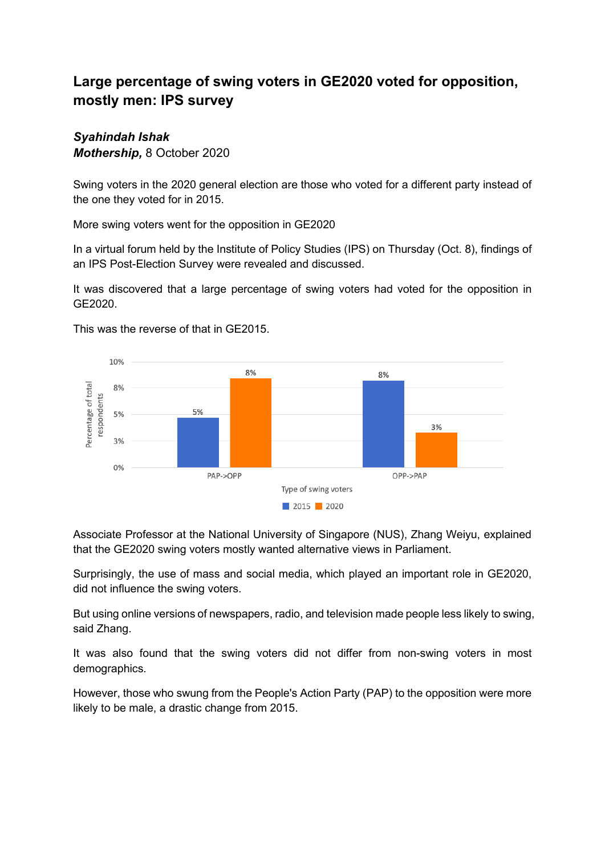## **Large percentage of swing voters in GE2020 voted for opposition, mostly men: IPS survey**

## *Syahindah Ishak Mothership,* 8 October 2020

Swing voters in the 2020 general election are those who voted for a different party instead of the one they voted for in 2015.

More swing voters went for the opposition in GE2020

In a virtual forum held by the Institute of Policy Studies (IPS) on Thursday (Oct. 8), findings of an IPS Post-Election Survey were revealed and discussed.

It was discovered that a large percentage of swing voters had voted for the opposition in GE2020.



This was the reverse of that in GE2015.

Associate Professor at the National University of Singapore (NUS), Zhang Weiyu, explained that the GE2020 swing voters mostly wanted alternative views in Parliament.

Surprisingly, the use of mass and social media, which played an important role in GE2020, did not influence the swing voters.

But using online versions of newspapers, radio, and television made people less likely to swing, said Zhang.

It was also found that the swing voters did not differ from non-swing voters in most demographics.

However, those who swung from the People's Action Party (PAP) to the opposition were more likely to be male, a drastic change from 2015.